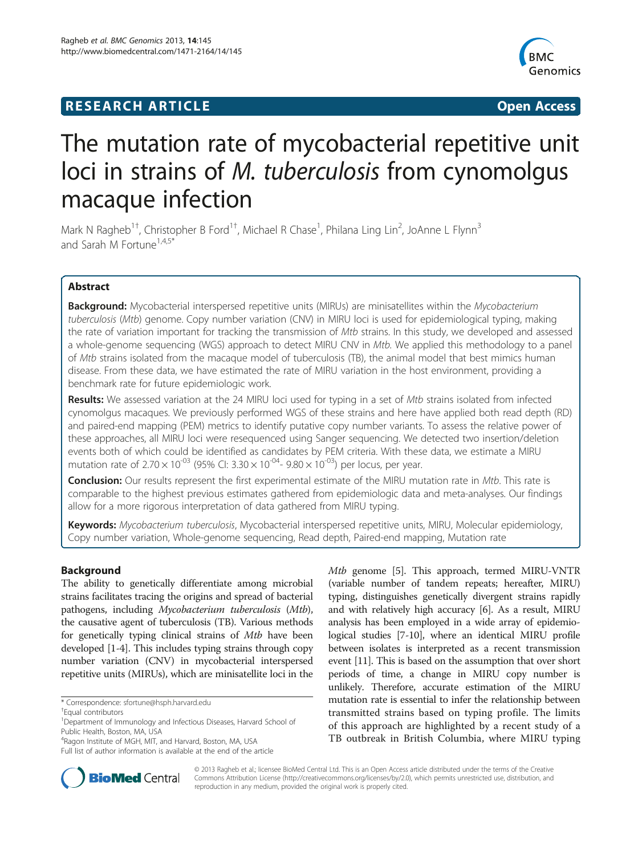# **RESEARCH ARTICLE Example 2014 CONSIDERING CONSIDERING CONSIDERING CONSIDERING CONSIDERING CONSIDERING CONSIDERING CONSIDERING CONSIDERING CONSIDERING CONSIDERING CONSIDERING CONSIDERING CONSIDERING CONSIDERING CONSIDE**



# The mutation rate of mycobacterial repetitive unit loci in strains of M. tuberculosis from cynomolgus macaque infection

Mark N Ragheb<sup>1+</sup>, Christopher B Ford<sup>1+</sup>, Michael R Chase<sup>1</sup>, Philana Ling Lin<sup>2</sup>, JoAnne L Flynn<sup>3</sup> and Sarah M Fortune<sup>1,4,5\*</sup>

# Abstract

Background: Mycobacterial interspersed repetitive units (MIRUs) are minisatellites within the Mycobacterium tuberculosis (Mtb) genome. Copy number variation (CNV) in MIRU loci is used for epidemiological typing, making the rate of variation important for tracking the transmission of Mtb strains. In this study, we developed and assessed a whole-genome sequencing (WGS) approach to detect MIRU CNV in Mtb. We applied this methodology to a panel of Mtb strains isolated from the macaque model of tuberculosis (TB), the animal model that best mimics human disease. From these data, we have estimated the rate of MIRU variation in the host environment, providing a benchmark rate for future epidemiologic work.

Results: We assessed variation at the 24 MIRU loci used for typing in a set of Mtb strains isolated from infected cynomolgus macaques. We previously performed WGS of these strains and here have applied both read depth (RD) and paired-end mapping (PEM) metrics to identify putative copy number variants. To assess the relative power of these approaches, all MIRU loci were resequenced using Sanger sequencing. We detected two insertion/deletion events both of which could be identified as candidates by PEM criteria. With these data, we estimate a MIRU mutation rate of  $2.70 \times 10^{-03}$  (95% CI:  $3.30 \times 10^{-04}$ - 9.80  $\times 10^{-03}$ ) per locus, per year.

Conclusion: Our results represent the first experimental estimate of the MIRU mutation rate in Mtb. This rate is comparable to the highest previous estimates gathered from epidemiologic data and meta-analyses. Our findings allow for a more rigorous interpretation of data gathered from MIRU typing.

Keywords: Mycobacterium tuberculosis, Mycobacterial interspersed repetitive units, MIRU, Molecular epidemiology, Copy number variation, Whole-genome sequencing, Read depth, Paired-end mapping, Mutation rate

# Background

The ability to genetically differentiate among microbial strains facilitates tracing the origins and spread of bacterial pathogens, including Mycobacterium tuberculosis (Mtb), the causative agent of tuberculosis (TB). Various methods for genetically typing clinical strains of Mtb have been developed [[1-4\]](#page-6-0). This includes typing strains through copy number variation (CNV) in mycobacterial interspersed repetitive units (MIRUs), which are minisatellite loci in the

Mtb genome [\[5\]](#page-6-0). This approach, termed MIRU-VNTR (variable number of tandem repeats; hereafter, MIRU) typing, distinguishes genetically divergent strains rapidly and with relatively high accuracy [[6\]](#page-6-0). As a result, MIRU analysis has been employed in a wide array of epidemiological studies [\[7](#page-6-0)-[10](#page-6-0)], where an identical MIRU profile between isolates is interpreted as a recent transmission event [[11](#page-6-0)]. This is based on the assumption that over short periods of time, a change in MIRU copy number is unlikely. Therefore, accurate estimation of the MIRU mutation rate is essential to infer the relationship between transmitted strains based on typing profile. The limits of this approach are highlighted by a recent study of a TB outbreak in British Columbia, where MIRU typing



© 2013 Ragheb et al.; licensee BioMed Central Ltd. This is an Open Access article distributed under the terms of the Creative Commons Attribution License [\(http://creativecommons.org/licenses/by/2.0\)](http://creativecommons.org/licenses/by/2.0), which permits unrestricted use, distribution, and reproduction in any medium, provided the original work is properly cited.

<sup>\*</sup> Correspondence: [sfortune@hsph.harvard.edu](mailto:sfortune@hsph.harvard.edu) †

Equal contributors

<sup>&</sup>lt;sup>1</sup>Department of Immunology and Infectious Diseases, Harvard School of Public Health, Boston, MA, USA

<sup>4</sup> Ragon Institute of MGH, MIT, and Harvard, Boston, MA, USA

Full list of author information is available at the end of the article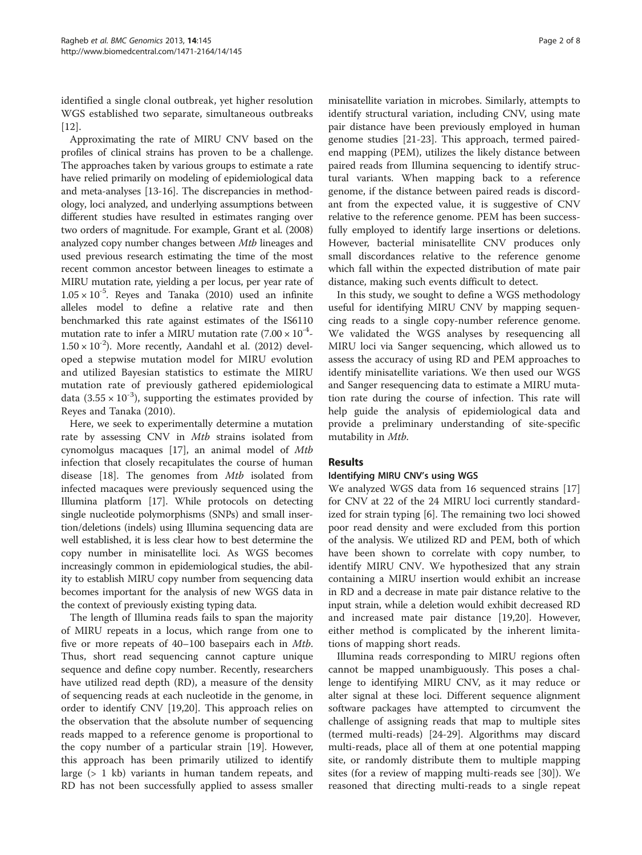identified a single clonal outbreak, yet higher resolution WGS established two separate, simultaneous outbreaks [[12\]](#page-6-0).

Approximating the rate of MIRU CNV based on the profiles of clinical strains has proven to be a challenge. The approaches taken by various groups to estimate a rate have relied primarily on modeling of epidemiological data and meta-analyses [\[13-16](#page-6-0)]. The discrepancies in methodology, loci analyzed, and underlying assumptions between different studies have resulted in estimates ranging over two orders of magnitude. For example, Grant et al. (2008) analyzed copy number changes between Mtb lineages and used previous research estimating the time of the most recent common ancestor between lineages to estimate a MIRU mutation rate, yielding a per locus, per year rate of  $1.05 \times 10^{-5}$ . Reyes and Tanaka (2010) used an infinite alleles model to define a relative rate and then benchmarked this rate against estimates of the IS6110 mutation rate to infer a MIRU mutation rate  $(7.00 \times 10^{-4}$ - $1.50 \times 10^{-2}$ ). More recently, Aandahl et al. (2012) developed a stepwise mutation model for MIRU evolution and utilized Bayesian statistics to estimate the MIRU mutation rate of previously gathered epidemiological data  $(3.55 \times 10^{-3})$ , supporting the estimates provided by Reyes and Tanaka (2010).

Here, we seek to experimentally determine a mutation rate by assessing CNV in Mtb strains isolated from cynomolgus macaques [[17\]](#page-6-0), an animal model of Mtb infection that closely recapitulates the course of human disease [\[18\]](#page-6-0). The genomes from *Mtb* isolated from infected macaques were previously sequenced using the Illumina platform [[17](#page-6-0)]. While protocols on detecting single nucleotide polymorphisms (SNPs) and small insertion/deletions (indels) using Illumina sequencing data are well established, it is less clear how to best determine the copy number in minisatellite loci. As WGS becomes increasingly common in epidemiological studies, the ability to establish MIRU copy number from sequencing data becomes important for the analysis of new WGS data in the context of previously existing typing data.

The length of Illumina reads fails to span the majority of MIRU repeats in a locus, which range from one to five or more repeats of 40–100 basepairs each in Mtb. Thus, short read sequencing cannot capture unique sequence and define copy number. Recently, researchers have utilized read depth (RD), a measure of the density of sequencing reads at each nucleotide in the genome, in order to identify CNV [[19,20\]](#page-7-0). This approach relies on the observation that the absolute number of sequencing reads mapped to a reference genome is proportional to the copy number of a particular strain [[19](#page-7-0)]. However, this approach has been primarily utilized to identify large (> 1 kb) variants in human tandem repeats, and RD has not been successfully applied to assess smaller minisatellite variation in microbes. Similarly, attempts to identify structural variation, including CNV, using mate pair distance have been previously employed in human genome studies [[21-23](#page-7-0)]. This approach, termed pairedend mapping (PEM), utilizes the likely distance between paired reads from Illumina sequencing to identify structural variants. When mapping back to a reference genome, if the distance between paired reads is discordant from the expected value, it is suggestive of CNV relative to the reference genome. PEM has been successfully employed to identify large insertions or deletions. However, bacterial minisatellite CNV produces only small discordances relative to the reference genome which fall within the expected distribution of mate pair distance, making such events difficult to detect.

In this study, we sought to define a WGS methodology useful for identifying MIRU CNV by mapping sequencing reads to a single copy-number reference genome. We validated the WGS analyses by resequencing all MIRU loci via Sanger sequencing, which allowed us to assess the accuracy of using RD and PEM approaches to identify minisatellite variations. We then used our WGS and Sanger resequencing data to estimate a MIRU mutation rate during the course of infection. This rate will help guide the analysis of epidemiological data and provide a preliminary understanding of site-specific mutability in Mtb.

# Results

#### Identifying MIRU CNV's using WGS

We analyzed WGS data from 16 sequenced strains [[17](#page-6-0)] for CNV at 22 of the 24 MIRU loci currently standardized for strain typing [\[6\]](#page-6-0). The remaining two loci showed poor read density and were excluded from this portion of the analysis. We utilized RD and PEM, both of which have been shown to correlate with copy number, to identify MIRU CNV. We hypothesized that any strain containing a MIRU insertion would exhibit an increase in RD and a decrease in mate pair distance relative to the input strain, while a deletion would exhibit decreased RD and increased mate pair distance [[19,20\]](#page-7-0). However, either method is complicated by the inherent limitations of mapping short reads.

Illumina reads corresponding to MIRU regions often cannot be mapped unambiguously. This poses a challenge to identifying MIRU CNV, as it may reduce or alter signal at these loci. Different sequence alignment software packages have attempted to circumvent the challenge of assigning reads that map to multiple sites (termed multi-reads) [\[24](#page-7-0)-[29](#page-7-0)]. Algorithms may discard multi-reads, place all of them at one potential mapping site, or randomly distribute them to multiple mapping sites (for a review of mapping multi-reads see [\[30](#page-7-0)]). We reasoned that directing multi-reads to a single repeat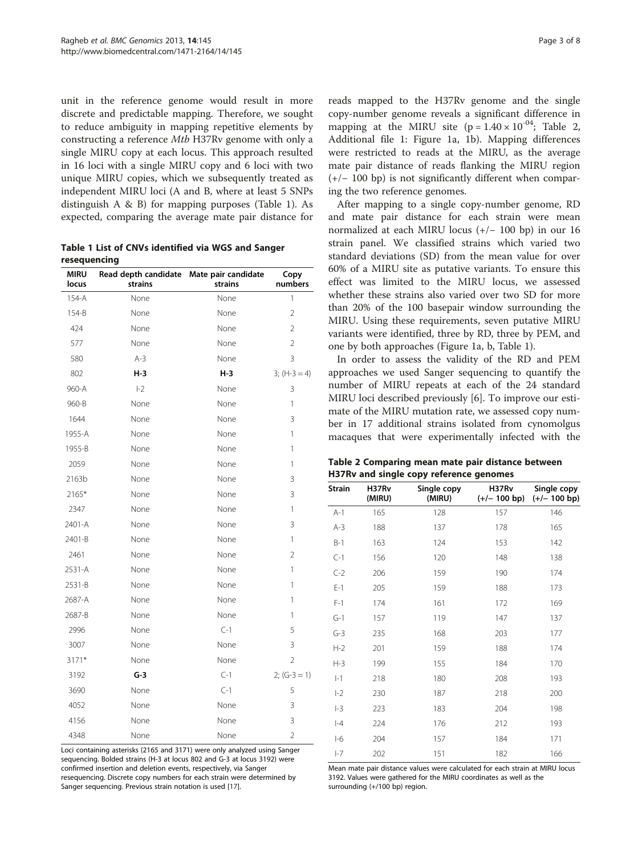<span id="page-2-0"></span>unit in the reference genome would result in more discrete and predictable mapping. Therefore, we sought to reduce ambiguity in mapping repetitive elements by constructing a reference Mtb H37Rv genome with only a single MIRU copy at each locus. This approach resulted in 16 loci with a single MIRU copy and 6 loci with two unique MIRU copies, which we subsequently treated as independent MIRU loci (A and B, where at least 5 SNPs distinguish A & B) for mapping purposes (Table 1). As expected, comparing the average mate pair distance for

Table 1 List of CNVs identified via WGS and Sanger resequencing

| MIRU<br>locus | Read depth candidate Mate pair candidate<br>strains | strains | Copy<br>numbers |
|---------------|-----------------------------------------------------|---------|-----------------|
| $154-A$       | None                                                | None    | 1               |
| $154-B$       | None                                                | None    | $\overline{2}$  |
| 424           | None                                                | None    | $\overline{2}$  |
| 577           | None                                                | None    | $\overline{2}$  |
| 580           | $A-3$                                               | None    | 3               |
| 802           | H-3                                                 | $H-3$   | $3; (H-3 = 4)$  |
| 960-A         | $ -2$                                               | None    | 3               |
| 960-B         | None                                                | None    | 1               |
| 1644          | None                                                | None    | 3               |
| 1955-A        | None                                                | None    | 1               |
| 1955-B        | None                                                | None    | 1               |
| 2059          | None                                                | None    | 1               |
| 2163b         | None                                                | None    | 3               |
| 2165*         | None                                                | None    | 3               |
| 2347          | None                                                | None    | 1               |
| 2401-A        | None                                                | None    | 3               |
| 2401-B        | None                                                | None    | 1               |
| 2461          | None                                                | None    | $\overline{2}$  |
| 2531-A        | None                                                | None    | 1               |
| 2531-B        | None                                                | None    | 1               |
| 2687-A        | None                                                | None    | 1               |
| 2687-B        | None                                                | None    | 1               |
| 2996          | None                                                | $C-1$   | 5               |
| 3007          | None                                                | None    | 3               |
| 3171*         | None                                                | None    | $\overline{2}$  |
| 3192          | $G-3$                                               | $C-1$   | $2; (G-3 = 1)$  |
| 3690          | None                                                | $C-1$   | 5               |
| 4052          | None                                                | None    | 3               |
| 4156          | None                                                | None    | 3               |
| 4348          | None                                                | None    | $\overline{2}$  |

Loci containing asterisks (2165 and 3171) were only analyzed using Sanger sequencing. Bolded strains (H-3 at locus 802 and G-3 at locus 3192) were confirmed insertion and deletion events, respectively, via Sanger resequencing. Discrete copy numbers for each strain were determined by Sanger sequencing. Previous strain notation is used [\[17](#page-6-0)].

reads mapped to the H37Rv genome and the single copy-number genome reveals a significant difference in mapping at the MIRU site  $(p = 1.40 \times 10^{-04})$ ; Table 2, Additional file [1](#page-6-0): Figure 1a, 1b). Mapping differences were restricted to reads at the MIRU, as the average mate pair distance of reads flanking the MIRU region (+/− 100 bp) is not significantly different when comparing the two reference genomes.

After mapping to a single copy-number genome, RD and mate pair distance for each strain were mean normalized at each MIRU locus (+/− 100 bp) in our 16 strain panel. We classified strains which varied two standard deviations (SD) from the mean value for over 60% of a MIRU site as putative variants. To ensure this effect was limited to the MIRU locus, we assessed whether these strains also varied over two SD for more than 20% of the 100 basepair window surrounding the MIRU. Using these requirements, seven putative MIRU variants were identified, three by RD, three by PEM, and one by both approaches (Figure [1](#page-3-0)a, b, Table 1).

In order to assess the validity of the RD and PEM approaches we used Sanger sequencing to quantify the number of MIRU repeats at each of the 24 standard MIRU loci described previously [[6\]](#page-6-0). To improve our estimate of the MIRU mutation rate, we assessed copy number in 17 additional strains isolated from cynomolgus macaques that were experimentally infected with the

|  |  |  |                                         | Table 2 Comparing mean mate pair distance between |
|--|--|--|-----------------------------------------|---------------------------------------------------|
|  |  |  | H37Rv and single copy reference genomes |                                                   |

| <b>Strain</b> | H37Rv<br>(MIRU) | Single copy<br>(MIRU) | H37Rv<br>$(+/- 100 bp)$ | Single copy<br>$(+/- 100 bp)$ |
|---------------|-----------------|-----------------------|-------------------------|-------------------------------|
| $A-1$         | 165             | 128                   | 157                     | 146                           |
| $A-3$         | 188             | 137                   | 178                     | 165                           |
| $B-1$         | 163             | 124                   | 153                     | 142                           |
| $C-1$         | 156             | 120                   | 148                     | 138                           |
| $C-2$         | 206             | 159                   | 190                     | 174                           |
| $E-1$         | 205             | 159                   | 188                     | 173                           |
| $F-1$         | 174             | 161                   | 172                     | 169                           |
| $G-1$         | 157             | 119                   | 147                     | 137                           |
| $G-3$         | 235             | 168                   | 203                     | 177                           |
| $H-2$         | 201             | 159                   | 188                     | 174                           |
| $H-3$         | 199             | 155                   | 184                     | 170                           |
| $ -1$         | 218             | 180                   | 208                     | 193                           |
| $ -2$         | 230             | 187                   | 218                     | 200                           |
| $ -3$         | 223             | 183                   | 204                     | 198                           |
| $ -4$         | 224             | 176                   | 212                     | 193                           |
| $ -6$         | 204             | 157                   | 184                     | 171                           |
| $ -7$         | 202             | 151                   | 182                     | 166                           |

Mean mate pair distance values were calculated for each strain at MIRU locus 3192. Values were gathered for the MIRU coordinates as well as the surrounding (+/100 bp) region.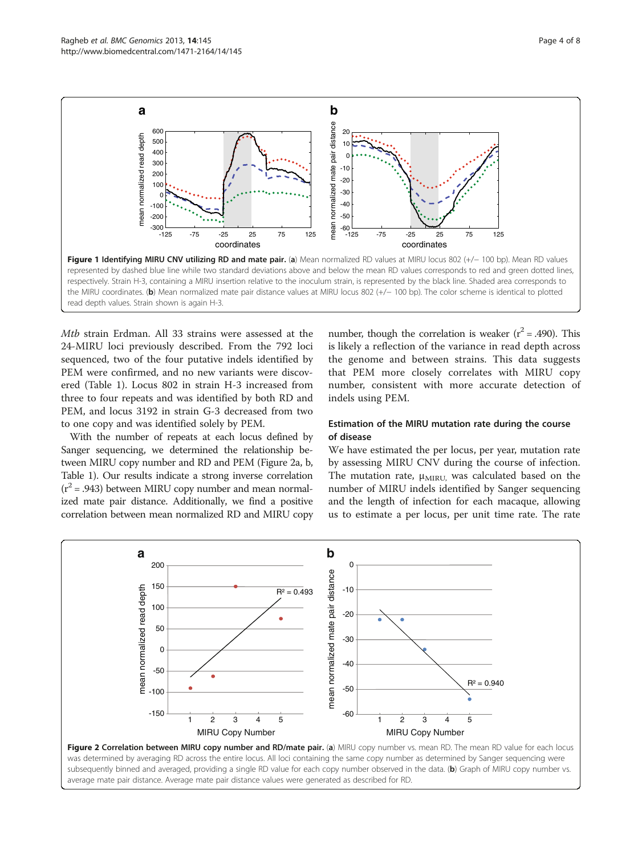<span id="page-3-0"></span>

Mtb strain Erdman. All 33 strains were assessed at the 24-MIRU loci previously described. From the 792 loci sequenced, two of the four putative indels identified by PEM were confirmed, and no new variants were discovered (Table [1\)](#page-2-0). Locus 802 in strain H-3 increased from three to four repeats and was identified by both RD and PEM, and locus 3192 in strain G-3 decreased from two to one copy and was identified solely by PEM.

With the number of repeats at each locus defined by Sanger sequencing, we determined the relationship between MIRU copy number and RD and PEM (Figure 2a, b, Table [1\)](#page-2-0). Our results indicate a strong inverse correlation  $(r^2 = .943)$  between MIRU copy number and mean normalized mate pair distance. Additionally, we find a positive correlation between mean normalized RD and MIRU copy number, though the correlation is weaker ( $r^2 = .490$ ). This is likely a reflection of the variance in read depth across the genome and between strains. This data suggests that PEM more closely correlates with MIRU copy number, consistent with more accurate detection of indels using PEM.

# Estimation of the MIRU mutation rate during the course of disease

We have estimated the per locus, per year, mutation rate by assessing MIRU CNV during the course of infection. The mutation rate,  $\mu_{\text{MIRU}}$ , was calculated based on the number of MIRU indels identified by Sanger sequencing and the length of infection for each macaque, allowing us to estimate a per locus, per unit time rate. The rate

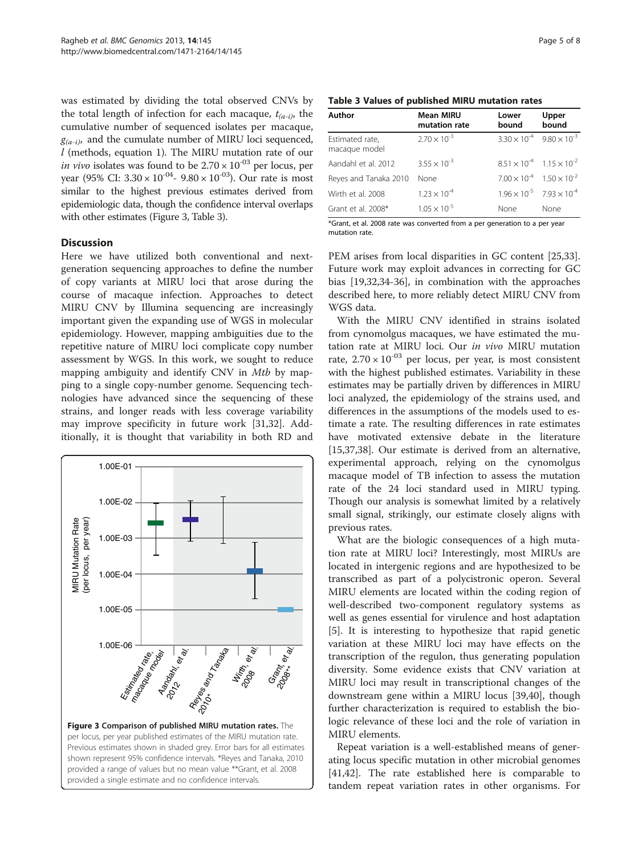was estimated by dividing the total observed CNVs by the total length of infection for each macaque,  $t_{(a-i)}$ , the cumulative number of sequenced isolates per macaque,  $g_{(a-i)}$ , and the cumulate number of MIRU loci sequenced, *l* (methods, equation 1). The MIRU mutation rate of our *l* [\(methods,](#page-5-0) equation [1\)](#page-5-0). The MIRU mutation rate of our *in vivo* isolates was found to be  $2.70 \times 10^{-03}$  per locus, per *in vivo* isolates was found to be  $2.70 \times 10^{-03}$  per locus, per vear (95% CI: 3.30  $\times$  10<sup>-04</sup>, 9.80  $\times$  10<sup>-03</sup>). Our rate is most year (95% CI:  $3.30 \times 10^{-04}$ -  $9.80 \times 10^{-03}$ ). Our rate is most similar to the highest previous estimates derived from epidemiologic data, though the confidence interval overlaps with other estimates (Figure 3, Table 3).

# **Discussion**

Here we have utilized both conventional and nextgeneration sequencing approaches to define the number of copy variants at MIRU loci that arose during the course of macaque infection. Approaches to detect MIRU CNV by Illumina sequencing are increasingly important given the expanding use of WGS in molecular epidemiology. However, mapping ambiguities due to the repetitive nature of MIRU loci complicate copy number assessment by WGS. In this work, we sought to reduce mapping ambiguity and identify CNV in *Mtb* by mapping to a single copy-number genome. Sequencing technologies have advanced since the sequencing of these strains, and longer reads with less coverage variability may improve specificity in future work [\[31,32\]](#page-7-0). Additionally, it is thought that variability in both RD and



|  |  | Table 3 Values of published MIRU mutation rates |  |  |  |
|--|--|-------------------------------------------------|--|--|--|
|--|--|-------------------------------------------------|--|--|--|

| Author                           | <b>Mean MIRU</b><br>mutation rate | Lower<br>bound                              | Upper<br>bound                              |
|----------------------------------|-----------------------------------|---------------------------------------------|---------------------------------------------|
| Estimated rate,<br>macaque model | $2.70 \times 10^{-3}$             |                                             | $3.30 \times 10^{-4}$ $9.80 \times 10^{-3}$ |
| Aandahl et al. 2012              | $3.55 \times 10^{-3}$             |                                             | $8.51 \times 10^{-4}$ $1.15 \times 10^{-2}$ |
| Reyes and Tanaka 2010            | None                              | $7.00 \times 10^{-4}$ $1.50 \times 10^{-2}$ |                                             |
| Wirth et al. 2008                | $1.23 \times 10^{-4}$             |                                             | $1.96 \times 10^{-5}$ $7.93 \times 10^{-4}$ |
| Grant et al. 2008*               | $1.05 \times 10^{-5}$             | None                                        | None                                        |

\*Grant, et al. 2008 rate was converted from a per generation to a per year mutation rate.

PEM arises from local disparities in GC content [\[25,33](#page-7-0)]. Future work may exploit advances in correcting for GC bias [\[19,32,34-36](#page-7-0)], in combination with the approaches described here, to more reliably detect MIRU CNV from WGS data.

With the MIRU CNV identified in strains isolated from cynomolgus macaques, we have estimated the mutation rate at MIRU loci. Our *in vivo* MIRU mutation rate,  $2.70 \times 10^{-03}$  per locus, per year, is most consistent with the highest published estimates. Variability in these estimates may be partially driven by differences in MIRU loci analyzed, the epidemiology of the strains used, and differences in the assumptions of the models used to estimate a rate. The resulting differences in rate estimates have motivated extensive debate in the literature [[15,](#page-6-0)[37,38\]](#page-7-0). Our estimate is derived from an alternative, experimental approach, relying on the cynomolgus macaque model of TB infection to assess the mutation rate of the 24 loci standard used in MIRU typing. Though our analysis is somewhat limited by a relatively small signal, strikingly, our estimate closely aligns with previous rates.

What are the biologic consequences of a high mutation rate at MIRU loci? Interestingly, most MIRUs are located in intergenic regions and are hypothesized to be transcribed as part of a polycistronic operon. Several MIRU elements are located within the coding region of well-described two-component regulatory systems as well as genes essential for virulence and host adaptation [[5\]](#page-6-0). It is interesting to hypothesize that rapid genetic variation at these MIRU loci may have effects on the transcription of the regulon, thus generating population diversity. Some evidence exists that CNV variation at MIRU loci may result in transcriptional changes of the downstream gene within a MIRU locus [\[39,40](#page-7-0)], though further characterization is required to establish the biologic relevance of these loci and the role of variation in MIRU elements.

Repeat variation is a well-established means of generating locus specific mutation in other microbial genomes [[41,42\]](#page-7-0). The rate established here is comparable to tandem repeat variation rates in other organisms. For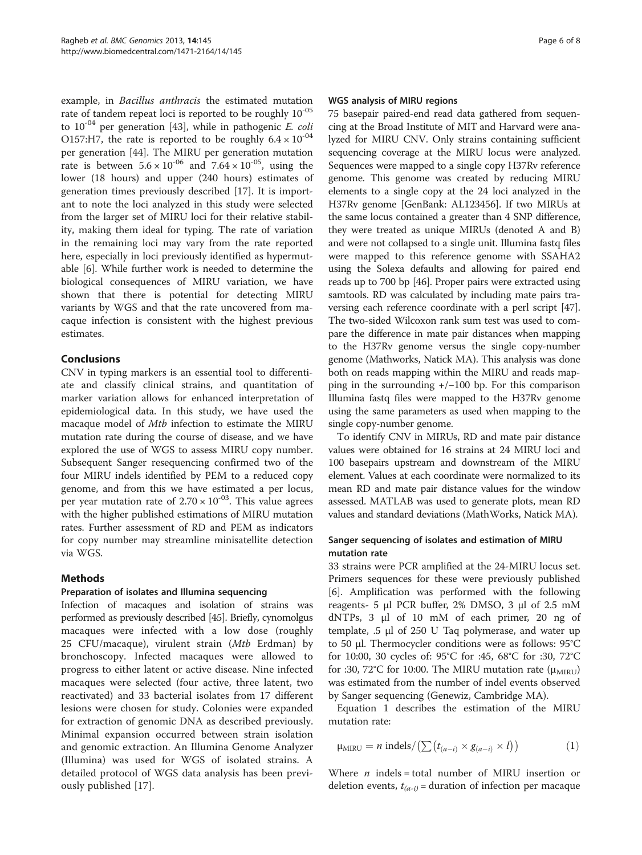<span id="page-5-0"></span>example, in Bacillus anthracis the estimated mutation rate of tandem repeat loci is reported to be roughly  $10^{-05}$ to  $10^{-04}$  per generation [[43\]](#page-7-0), while in pathogenic *E. coli* O157:H7, the rate is reported to be roughly  $6.4 \times 10^{-04}$ per generation [\[44\]](#page-7-0). The MIRU per generation mutation rate is between  $5.6 \times 10^{-06}$  and  $7.64 \times 10^{-05}$ , using the lower (18 hours) and upper (240 hours) estimates of generation times previously described [\[17](#page-6-0)]. It is important to note the loci analyzed in this study were selected from the larger set of MIRU loci for their relative stability, making them ideal for typing. The rate of variation in the remaining loci may vary from the rate reported here, especially in loci previously identified as hypermutable [[6\]](#page-6-0). While further work is needed to determine the biological consequences of MIRU variation, we have shown that there is potential for detecting MIRU variants by WGS and that the rate uncovered from macaque infection is consistent with the highest previous estimates.

# Conclusions

CNV in typing markers is an essential tool to differentiate and classify clinical strains, and quantitation of marker variation allows for enhanced interpretation of epidemiological data. In this study, we have used the macaque model of Mtb infection to estimate the MIRU mutation rate during the course of disease, and we have explored the use of WGS to assess MIRU copy number. Subsequent Sanger resequencing confirmed two of the four MIRU indels identified by PEM to a reduced copy genome, and from this we have estimated a per locus, per year mutation rate of  $2.70 \times 10^{-03}$ . This value agrees with the higher published estimations of MIRU mutation rates. Further assessment of RD and PEM as indicators for copy number may streamline minisatellite detection via WGS.

# Methods

# Preparation of isolates and Illumina sequencing

Infection of macaques and isolation of strains was performed as previously described [\[45\]](#page-7-0). Briefly, cynomolgus macaques were infected with a low dose (roughly 25 CFU/macaque), virulent strain (Mtb Erdman) by bronchoscopy. Infected macaques were allowed to progress to either latent or active disease. Nine infected macaques were selected (four active, three latent, two reactivated) and 33 bacterial isolates from 17 different lesions were chosen for study. Colonies were expanded for extraction of genomic DNA as described previously. Minimal expansion occurred between strain isolation and genomic extraction. An Illumina Genome Analyzer (Illumina) was used for WGS of isolated strains. A detailed protocol of WGS data analysis has been previously published [[17\]](#page-6-0).

#### WGS analysis of MIRU regions

75 basepair paired-end read data gathered from sequencing at the Broad Institute of MIT and Harvard were analyzed for MIRU CNV. Only strains containing sufficient sequencing coverage at the MIRU locus were analyzed. Sequences were mapped to a single copy H37Rv reference genome. This genome was created by reducing MIRU elements to a single copy at the 24 loci analyzed in the H37Rv genome [GenBank: AL123456]. If two MIRUs at the same locus contained a greater than 4 SNP difference, they were treated as unique MIRUs (denoted A and B) and were not collapsed to a single unit. Illumina fastq files were mapped to this reference genome with SSAHA2 using the Solexa defaults and allowing for paired end reads up to 700 bp [\[46\]](#page-7-0). Proper pairs were extracted using samtools. RD was calculated by including mate pairs traversing each reference coordinate with a perl script [[47](#page-7-0)]. The two-sided Wilcoxon rank sum test was used to compare the difference in mate pair distances when mapping to the H37Rv genome versus the single copy-number genome (Mathworks, Natick MA). This analysis was done both on reads mapping within the MIRU and reads mapping in the surrounding +/−100 bp. For this comparison Illumina fastq files were mapped to the H37Rv genome using the same parameters as used when mapping to the single copy-number genome.

To identify CNV in MIRUs, RD and mate pair distance values were obtained for 16 strains at 24 MIRU loci and 100 basepairs upstream and downstream of the MIRU element. Values at each coordinate were normalized to its mean RD and mate pair distance values for the window assessed. MATLAB was used to generate plots, mean RD values and standard deviations (MathWorks, Natick MA).

# Sanger sequencing of isolates and estimation of MIRU mutation rate

33 strains were PCR amplified at the 24-MIRU locus set. Primers sequences for these were previously published [[6\]](#page-6-0). Amplification was performed with the following reagents- 5 μl PCR buffer, 2% DMSO, 3 μl of 2.5 mM dNTPs, 3 μl of 10 mM of each primer, 20 ng of template, .5 μl of 250 U Taq polymerase, and water up to 50 μl. Thermocycler conditions were as follows: 95°C for 10:00, 30 cycles of: 95°C for :45, 68°C for :30, 72°C for :30, 72°C for 10:00. The MIRU mutation rate ( $\mu_{\text{MIRU}}$ ) was estimated from the number of indel events observed by Sanger sequencing (Genewiz, Cambridge MA).

Equation 1 describes the estimation of the MIRU mutation rate:

$$
\mu_{\text{MIRU}} = n \text{ indels} / \left( \sum \left( t_{(a-i)} \times g_{(a-i)} \times l \right) \right) \tag{1}
$$

Where *n* indels = total number of MIRU insertion or deletion events,  $t_{(a-i)}$  = duration of infection per macaque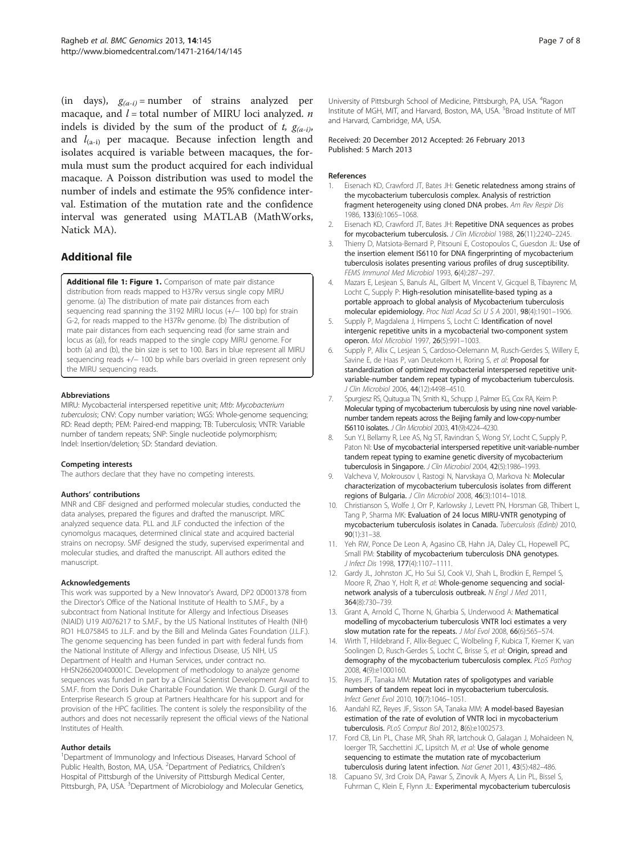<span id="page-6-0"></span>(in days),  $g_{(a-i)}$  = number of strains analyzed per macaque, and  $l =$  total number of MIRU loci analyzed.  $n$ indels is divided by the sum of the product of  $t$ ,  $g_{(a-i)}$ , and  $l_{(a-i)}$  per macaque. Because infection length and isolates acquired is variable between macaques, the formula must sum the product acquired for each individual macaque. A Poisson distribution was used to model the number of indels and estimate the 95% confidence interval. Estimation of the mutation rate and the confidence interval was generated using MATLAB (MathWorks, Natick MA).

# Additional file

[Additional file 1: Figure 1.](http://www.biomedcentral.com/content/supplementary/1471-2164-14-145-S1.pdf) Comparison of mate pair distance distribution from reads mapped to H37Rv versus single copy MIRU genome. (a) The distribution of mate pair distances from each sequencing read spanning the 3192 MIRU locus (+/- 100 bp) for strain G-2, for reads mapped to the H37Rv genome. (b) The distribution of mate pair distances from each sequencing read (for same strain and locus as (a)), for reads mapped to the single copy MIRU genome. For both (a) and (b), the bin size is set to 100. Bars in blue represent all MIRU sequencing reads +/- 100 bp while bars overlaid in green represent only the MIRU sequencing reads.

#### Abbreviations

MIRU: Mycobacterial interspersed repetitive unit; Mtb: Mycobacterium tuberculosis; CNV: Copy number variation; WGS: Whole-genome sequencing; RD: Read depth; PEM: Paired-end mapping; TB: Tuberculosis; VNTR: Variable number of tandem repeats; SNP: Single nucleotide polymorphism; Indel: Insertion/deletion; SD: Standard deviation.

#### Competing interests

The authors declare that they have no competing interests.

#### Authors' contributions

MNR and CBF designed and performed molecular studies, conducted the data analyses, prepared the figures and drafted the manuscript. MRC analyzed sequence data. PLL and JLF conducted the infection of the cynomolgus macaques, determined clinical state and acquired bacterial strains on necropsy. SMF designed the study, supervised experimental and molecular studies, and drafted the manuscript. All authors edited the manuscript.

#### Acknowledgements

This work was supported by a New Innovator's Award, DP2 0D001378 from the Director's Office of the National Institute of Health to S.M.F., by a subcontract from National Institute for Allergy and Infectious Diseases (NIAID) U19 AI076217 to S.M.F., by the US National Institutes of Health (NIH) RO1 HL075845 to J.L.F. and by the Bill and Melinda Gates Foundation (J.L.F.). The genome sequencing has been funded in part with federal funds from the National Institute of Allergy and Infectious Disease, US NIH, US Department of Health and Human Services, under contract no. HHSN266200400001C. Development of methodology to analyze genome sequences was funded in part by a Clinical Scientist Development Award to S.M.F. from the Doris Duke Charitable Foundation. We thank D. Gurgil of the Enterprise Research IS group at Partners Healthcare for his support and for provision of the HPC facilities. The content is solely the responsibility of the authors and does not necessarily represent the official views of the National Institutes of Health.

#### Author details

<sup>1</sup>Department of Immunology and Infectious Diseases, Harvard School of Public Health, Boston, MA, USA. <sup>2</sup>Department of Pediatrics, Children's Hospital of Pittsburgh of the University of Pittsburgh Medical Center, Pittsburgh, PA, USA. <sup>3</sup>Department of Microbiology and Molecular Genetics,

University of Pittsburgh School of Medicine, Pittsburgh, PA, USA. <sup>4</sup>Ragon Institute of MGH, MIT, and Harvard, Boston, MA, USA. <sup>5</sup>Broad Institute of MIT and Harvard, Cambridge, MA, USA.

#### Received: 20 December 2012 Accepted: 26 February 2013 Published: 5 March 2013

#### References

- 1. Eisenach KD, Crawford JT, Bates JH: Genetic relatedness among strains of the mycobacterium tuberculosis complex. Analysis of restriction fragment heterogeneity using cloned DNA probes. Am Rev Respir Dis 1986, 133(6):1065–1068.
- 2. Eisenach KD, Crawford JT, Bates JH: Repetitive DNA sequences as probes for mycobacterium tuberculosis. J Clin Microbiol 1988, 26(11):2240-2245.
- 3. Thierry D, Matsiota-Bernard P, Pitsouni E, Costopoulos C, Guesdon JL: Use of the insertion element IS6110 for DNA fingerprinting of mycobacterium tuberculosis isolates presenting various profiles of drug susceptibility. FEMS Immunol Med Microbiol 1993, 6(4):287–297.
- 4. Mazars E, Lesjean S, Banuls AL, Gilbert M, Vincent V, Gicquel B, Tibayrenc M, Locht C, Supply P: High-resolution minisatellite-based typing as a portable approach to global analysis of Mycobacterium tuberculosis molecular epidemiology. Proc Natl Acad Sci U S A 2001, 98(4):1901–1906.
- 5. Supply P, Magdalena J, Himpens S, Locht C: Identification of novel intergenic repetitive units in a mycobacterial two-component system operon. Mol Microbiol 1997, 26(5):991–1003.
- 6. Supply P, Allix C, Lesjean S, Cardoso-Oelemann M, Rusch-Gerdes S, Willery E, Savine E, de Haas P, van Deutekom H, Roring S, et al: Proposal for standardization of optimized mycobacterial interspersed repetitive unitvariable-number tandem repeat typing of mycobacterium tuberculosis. J Clin Microbiol 2006, 44(12):4498–4510.
- Spurgiesz RS, Quitugua TN, Smith KL, Schupp J, Palmer EG, Cox RA, Keim P: Molecular typing of mycobacterium tuberculosis by using nine novel variablenumber tandem repeats across the Beijing family and low-copy-number IS6110 isolates. J Clin Microbiol 2003, 41(9):4224–4230.
- Sun YJ, Bellamy R, Lee AS, Ng ST, Ravindran S, Wong SY, Locht C, Supply P, Paton NI: Use of mycobacterial interspersed repetitive unit-variable-number tandem repeat typing to examine genetic diversity of mycobacterium tuberculosis in Singapore. J Clin Microbiol 2004, 42(5):1986-1993.
- Valcheva V, Mokrousov I, Rastogi N, Narvskaya O, Markova N: Molecular characterization of mycobacterium tuberculosis isolates from different regions of Bulgaria. J Clin Microbiol 2008, 46(3):1014–1018.
- 10. Christianson S, Wolfe J, Orr P, Karlowsky J, Levett PN, Horsman GB, Thibert L, Tang P, Sharma MK: Evaluation of 24 locus MIRU-VNTR genotyping of mycobacterium tuberculosis isolates in Canada. Tuberculosis (Edinb) 2010,  $90(1)$  $31-38$
- 11. Yeh RW, Ponce De Leon A, Agasino CB, Hahn JA, Daley CL, Hopewell PC, Small PM: Stability of mycobacterium tuberculosis DNA genotypes. J Infect Dis 1998, 177(4):1107–1111.
- 12. Gardy JL, Johnston JC, Ho Sui SJ, Cook VJ, Shah L, Brodkin E, Rempel S, Moore R, Zhao Y, Holt R, et al: Whole-genome sequencing and socialnetwork analysis of a tuberculosis outbreak. N Engl J Med 2011, 364(8):730–739.
- 13. Grant A, Arnold C, Thorne N, Gharbia S, Underwood A: Mathematical modelling of mycobacterium tuberculosis VNTR loci estimates a very slow mutation rate for the repeats. J Mol Evol 2008, 66(6):565-574
- 14. Wirth T, Hildebrand F, Allix-Beguec C, Wolbeling F, Kubica T, Kremer K, van Soolingen D, Rusch-Gerdes S, Locht C, Brisse S, et al: Origin, spread and demography of the mycobacterium tuberculosis complex. PLoS Pathog 2008, 4(9):e1000160.
- 15. Reyes JF, Tanaka MM: Mutation rates of spoligotypes and variable numbers of tandem repeat loci in mycobacterium tuberculosis. Infect Genet Evol 2010, 10(7):1046–1051.
- 16. Aandahl RZ, Reyes JF, Sisson SA, Tanaka MM: A model-based Bayesian estimation of the rate of evolution of VNTR loci in mycobacterium tuberculosis. PLoS Comput Biol 2012, 8(6):e1002573.
- 17. Ford CB, Lin PL, Chase MR, Shah RR, Iartchouk O, Galagan J, Mohaideen N, Ioerger TR, Sacchettini JC, Lipsitch M, et al: Use of whole genome sequencing to estimate the mutation rate of mycobacterium tuberculosis during latent infection. Nat Genet 2011, 43(5):482–486.
- 18. Capuano SV, 3rd Croix DA, Pawar S, Zinovik A, Myers A, Lin PL, Bissel S, Fuhrman C, Klein E, Flynn JL: Experimental mycobacterium tuberculosis